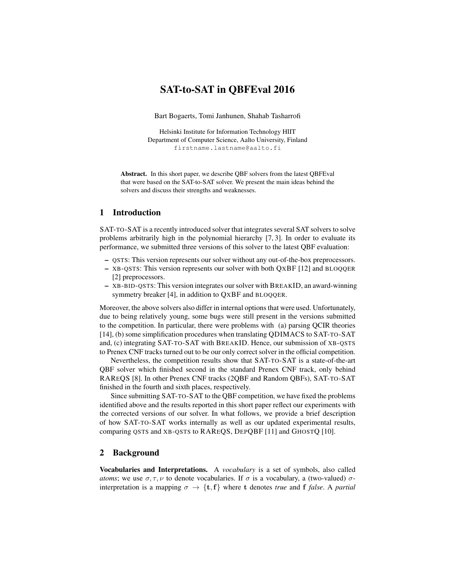# SAT-to-SAT in QBFEval 2016

Bart Bogaerts, Tomi Janhunen, Shahab Tasharrofi

Helsinki Institute for Information Technology HIIT Department of Computer Science, Aalto University, Finland firstname.lastname@aalto.fi

Abstract. In this short paper, we describe QBF solvers from the latest QBFEval that were based on the SAT-to-SAT solver. We present the main ideas behind the solvers and discuss their strengths and weaknesses.

# 1 Introduction

SAT-TO-SAT is a recently introduced solver that integrates several SAT solvers to solve problems arbitrarily high in the polynomial hierarchy [7, 3]. In order to evaluate its performance, we submitted three versions of this solver to the latest QBF evaluation:

- QSTS: This version represents our solver without any out-of-the-box preprocessors.
- XB-QSTS: This version represents our solver with both QXBF [12] and BLOQQER [2] preprocessors.
- XB-BID-QSTS: This version integrates our solver with BREAKID, an award-winning symmetry breaker [4], in addition to QXBF and BLOQQER.

Moreover, the above solvers also differ in internal options that were used. Unfortunately, due to being relatively young, some bugs were still present in the versions submitted to the competition. In particular, there were problems with (a) parsing QCIR theories [14], (b) some simplification procedures when translating QDIMACS to SAT-TO-SAT and, (c) integrating SAT-TO-SAT with BREAKID. Hence, our submission of XB-OSTS to Prenex CNF tracks turned out to be our only correct solver in the official competition.

Nevertheless, the competition results show that SAT-TO-SAT is a state-of-the-art QBF solver which finished second in the standard Prenex CNF track, only behind RAREQS [8]. In other Prenex CNF tracks (2QBF and Random QBFs), SAT-TO-SAT finished in the fourth and sixth places, respectively.

Since submitting SAT-TO-SAT to the QBF competition, we have fixed the problems identified above and the results reported in this short paper reflect our experiments with the corrected versions of our solver. In what follows, we provide a brief description of how SAT-TO-SAT works internally as well as our updated experimental results, comparing QSTS and XB-QSTS to RAREQS, DEPQBF [11] and GHOSTQ [10].

# 2 Background

Vocabularies and Interpretations. A *vocabulary* is a set of symbols, also called *atoms*; we use  $\sigma, \tau, \nu$  to denote vocabularies. If  $\sigma$  is a vocabulary, a (two-valued)  $\sigma$ interpretation is a mapping  $\sigma \rightarrow \{t, f\}$  where t denotes *true* and f *false*. A *partial*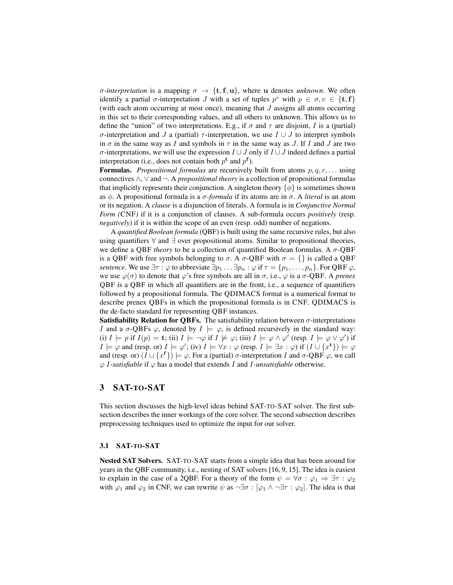*σ*-interpretation is a mapping  $\sigma \to \{t, f, u\}$ , where u denotes *unknown*. We often identify a partial  $\sigma$ -interpretation J with a set of tuples  $p^v$  with  $p \in \sigma, v \in \{\mathbf{t}, \mathbf{f}\}\$ (with each atom occurring at most once), meaning that  $J$  assigns all atoms occurring in this set to their corresponding values, and all others to unknown. This allows us to define the "union" of two interpretations. E.g., if  $\sigma$  and  $\tau$  are disjoint, I is a (partial) σ-interpretation and J a (partial)  $τ$ -interpretation, we use  $I \cup J$  to interpret symbols in  $\sigma$  in the same way as I and symbols in  $\tau$  in the same way as J. If I and J are two σ-interpretations, we will use the expression  $I \cup J$  only if  $I \cup J$  indeed defines a partial interpretation (i.e., does not contain both  $p^t$  and  $p^f$ ).

**Formulas.** *Propositional formulas* are recursively built from atoms  $p, q, r, \ldots$  using connectives ∧, ∨ and ¬. A *propositional theory* is a collection of propositional formulas that implicitly represents their conjunction. A singleton theory  $\{\phi\}$  is sometimes shown as φ. A propositional formula is a σ*-formula* if its atoms are in σ. A *literal* is an atom or its negation. A *clause* is a disjunction of literals. A formula is in *Conjunctive Normal Form (*CNF*)* if it is a conjunction of clauses. A sub-formula occurs *positively* (resp. *negatively*) if it is within the scope of an even (resp. odd) number of negations.

A *quantified Boolean formula* (QBF) is built using the same recursive rules, but also using quantifiers  $\forall$  and  $\exists$  over propositional atoms. Similar to propositional theories, we define a QBF *theory* to be a collection of quantified Boolean formulas. A σ-QBF is a QBF with free symbols belonging to  $\sigma$ . A  $\sigma$ -QBF with  $\sigma = \{\}$  is called a QBF *sentence*. We use  $\exists \tau : \varphi$  to abbreviate  $\exists p_1 \ldots \exists p_n : \varphi$  if  $\tau = \{p_1, \ldots, p_n\}$ . For QBF  $\varphi$ , we use  $\varphi(\sigma)$  to denote that  $\varphi$ 's free symbols are all in  $\sigma$ , i.e.,  $\varphi$  is a  $\sigma$ -QBF. A *prenex* QBF is a QBF in which all quantifiers are in the front, i.e., a sequence of quantifiers followed by a propositional formula. The QDIMACS format is a numerical format to describe prenex QBFs in which the propositional formula is in CNF. QDIMACS is the de-facto standard for representing QBF instances.

Satisfiability Relation for QBFs. The satisfiability relation between  $\sigma$ -interpretations I and a  $\sigma$ -QBFs  $\varphi$ , denoted by  $I \models \varphi$ , is defined recursively in the standard way: (i)  $I \models p$  if  $I(p) = \mathbf{t}$ ; (ii)  $I \models \neg \varphi$  if  $I \not\models \varphi$ ; (iii)  $I \models \varphi \land \varphi'$  (resp.  $I \models \varphi \lor \varphi'$ ) if  $I \models \varphi$  and (resp. or)  $I \models \varphi'$ ; (iv)  $I \models \forall x : \varphi$  (resp.  $I \models \exists x : \varphi$ ) if  $(I \cup \{x^{\mathbf{t}}\}) \models \varphi$ and (resp. or)  $(I \cup \{x^f\}) \models \varphi$ . For a (partial)  $\sigma$ -interpretation I and  $\sigma$ -QBF  $\varphi$ , we call  $\varphi$  *I*-satisfiable if  $\varphi$  has a model that extends *I* and *I*-unsatisfiable otherwise.

# 3 SAT-TO-SAT

This section discusses the high-level ideas behind SAT-TO-SAT solver. The first subsection describes the inner workings of the core solver. The second subsection describes preprocessing techniques used to optimize the input for our solver.

#### 3.1 SAT-TO-SAT

Nested SAT Solvers. SAT-TO-SAT starts from a simple idea that has been around for years in the QBF community, i.e., nesting of SAT solvers [16, 9, 15]. The idea is easiest to explain in the case of a 2QBF. For a theory of the form  $\psi = \forall \sigma : \varphi_1 \Rightarrow \exists \tau : \varphi_2$ with  $\varphi_1$  and  $\varphi_2$  in CNF, we can rewrite  $\psi$  as  $\neg \exists \sigma : [\varphi_1 \land \neg \exists \tau : \varphi_2]$ . The idea is that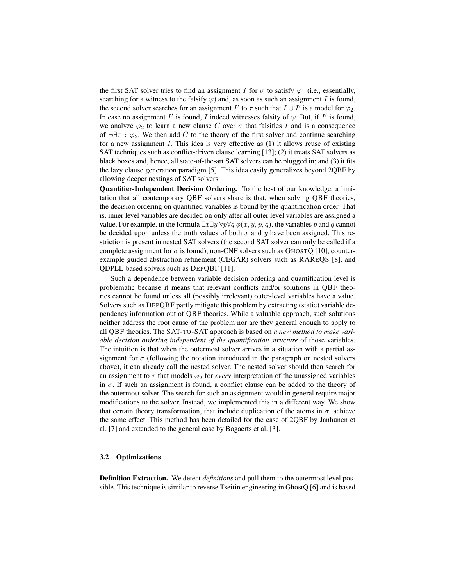the first SAT solver tries to find an assignment I for  $\sigma$  to satisfy  $\varphi_1$  (i.e., essentially, searching for a witness to the falsify  $\psi$ ) and, as soon as such an assignment I is found, the second solver searches for an assignment  $I'$  to  $\tau$  such that  $I \cup I'$  is a model for  $\varphi_2$ . In case no assignment  $I'$  is found, I indeed witnesses falsity of  $\psi$ . But, if  $I'$  is found, we analyze  $\varphi_2$  to learn a new clause C over  $\sigma$  that falsifies I and is a consequence of  $\neg \exists \tau : \varphi_2$ . We then add C to the theory of the first solver and continue searching for a new assignment  $I$ . This idea is very effective as  $(1)$  it allows reuse of existing SAT techniques such as conflict-driven clause learning [13]; (2) it treats SAT solvers as black boxes and, hence, all state-of-the-art SAT solvers can be plugged in; and (3) it fits the lazy clause generation paradigm [5]. This idea easily generalizes beyond 2QBF by allowing deeper nestings of SAT solvers.

Quantifier-Independent Decision Ordering. To the best of our knowledge, a limitation that all contemporary QBF solvers share is that, when solving QBF theories, the decision ordering on quantified variables is bound by the quantification order. That is, inner level variables are decided on only after all outer level variables are assigned a value. For example, in the formula  $\exists x \exists y \forall p \forall q \phi(x, y, p, q)$ , the variables p and q cannot be decided upon unless the truth values of both x and  $y$  have been assigned. This restriction is present in nested SAT solvers (the second SAT solver can only be called if a complete assignment for  $\sigma$  is found), non-CNF solvers such as GHOSTQ [10], counterexample guided abstraction refinement (CEGAR) solvers such as RAREQS [8], and QDPLL-based solvers such as DEPQBF [11].

Such a dependence between variable decision ordering and quantification level is problematic because it means that relevant conflicts and/or solutions in QBF theories cannot be found unless all (possibly irrelevant) outer-level variables have a value. Solvers such as DEPQBF partly mitigate this problem by extracting (static) variable dependency information out of QBF theories. While a valuable approach, such solutions neither address the root cause of the problem nor are they general enough to apply to all QBF theories. The SAT-TO-SAT approach is based on *a new method to make variable decision ordering independent of the quantification structure* of those variables. The intuition is that when the outermost solver arrives in a situation with a partial assignment for  $\sigma$  (following the notation introduced in the paragraph on nested solvers above), it can already call the nested solver. The nested solver should then search for an assignment to  $\tau$  that models  $\varphi_2$  for *every* interpretation of the unassigned variables in  $\sigma$ . If such an assignment is found, a conflict clause can be added to the theory of the outermost solver. The search for such an assignment would in general require major modifications to the solver. Instead, we implemented this in a different way. We show that certain theory transformation, that include duplication of the atoms in  $\sigma$ , achieve the same effect. This method has been detailed for the case of 2QBF by Janhunen et al. [7] and extended to the general case by Bogaerts et al. [3].

#### 3.2 Optimizations

Definition Extraction. We detect *definitions* and pull them to the outermost level possible. This technique is similar to reverse Tseitin engineering in GhostQ [6] and is based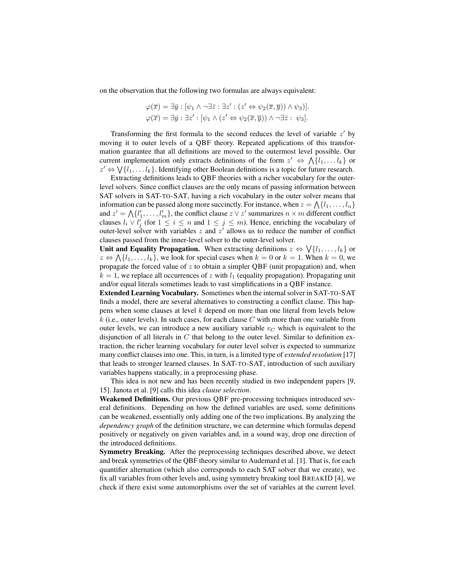on the observation that the following two formulas are always equivalent:

$$
\varphi(\overline{x}) = \exists \overline{y} : [\psi_1 \land \neg \exists \overline{z} : \exists z' : (z' \Leftrightarrow \psi_2(\overline{x}, \overline{y})) \land \psi_3]].
$$
  

$$
\varphi(\overline{x}) = \exists \overline{y} : \exists z' : [\psi_1 \land (z' \Leftrightarrow \psi_2(\overline{x}, \overline{y})) \land \neg \exists \overline{z} : \psi_3].
$$

Transforming the first formula to the second reduces the level of variable  $z'$  by moving it to outer levels of a QBF theory. Repeated applications of this transformation guarantee that all definitions are moved to the outermost level possible. Our current implementation only extracts definitions of the form  $z' \Leftrightarrow \bigwedge \{l_1, \ldots l_k\}$  or  $z'$  ⇔  $\bigvee$ { $l_1, \ldots l_k$ }. Identifying other Boolean definitions is a topic for future research.

Extracting definitions leads to QBF theories with a richer vocabulary for the outerlevel solvers. Since conflict clauses are the only means of passing information between SAT solvers in SAT-TO-SAT, having a rich vocabulary in the outer solver means that information can be passed along more succinctly. For instance, when  $z = \bigwedge \{l_1, \ldots, l_n\}$ and  $z' = \bigwedge \{l'_1, \ldots, l'_m\}$ , the conflict clause  $z \vee z'$  summarizes  $n \times m$  different conflict clauses  $l_i \vee l'_j$  (for  $1 \leq i \leq n$  and  $1 \leq j \leq m$ ). Hence, enriching the vocabulary of outer-level solver with variables  $z$  and  $z'$  allows us to reduce the number of conflict clauses passed from the inner-level solver to the outer-level solver.

Unit and Equality Propagation. When extracting definitions  $z \Leftrightarrow \bigvee \{l_1, \ldots, l_k\}$  or  $z \Leftrightarrow \bigwedge \{l_1, \ldots, l_k\}$ , we look for special cases when  $k = 0$  or  $k = 1$ . When  $k = 0$ , we propagate the forced value of  $z$  to obtain a simpler QBF (unit propagation) and, when  $k = 1$ , we replace all occurrences of z with  $l_1$  (equality propagation). Propagating unit and/or equal literals sometimes leads to vast simplifications in a QBF instance.

Extended Learning Vocabulary. Sometimes when the internal solver in SAT-TO-SAT finds a model, there are several alternatives to constructing a conflict clause. This happens when some clauses at level k depend on more than one literal from levels below  $k$  (i.e., outer levels). In such cases, for each clause C with more than one variable from outer levels, we can introduce a new auxiliary variable  $v<sub>C</sub>$  which is equivalent to the disjunction of all literals in  $C$  that belong to the outer level. Similar to definition extraction, the richer learning vocabulary for outer level solver is expected to summarize many conflict clauses into one. This, in turn, is a limited type of *extended resolution* [17] that leads to stronger learned clauses. In SAT-TO-SAT, introduction of such auxiliary variables happens statically, in a preprocessing phase.

This idea is not new and has been recently studied in two independent papers [9, 15]. Janota et al. [9] calls this idea *clause selection*.

Weakened Definitions. Our previous QBF pre-processing techniques introduced several definitions. Depending on how the defined variables are used, some definitions can be weakened, essentially only adding one of the two implications. By analyzing the *dependency graph* of the definition structure, we can determine which formulas depend positively or negatively on given variables and, in a sound way, drop one direction of the introduced definitions.

Symmetry Breaking. After the preprocessing techniques described above, we detect and break symmetries of the QBF theory similar to Audemard et al. [1]. That is, for each quantifier alternation (which also corresponds to each SAT solver that we create), we fix all variables from other levels and, using symmetry breaking tool BREAKID [4], we check if there exist some automorphisms over the set of variables at the current level.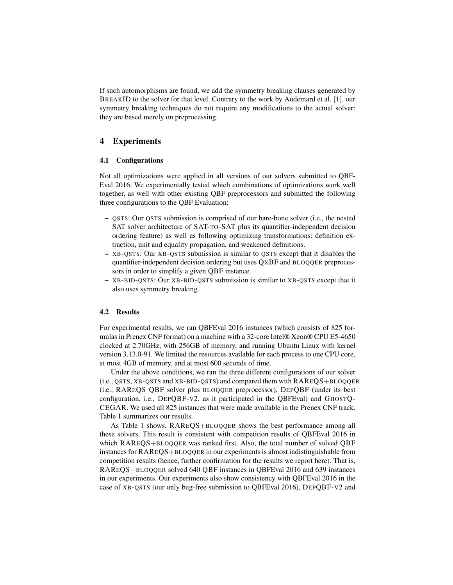If such automorphisms are found, we add the symmetry breaking clauses generated by BREAKID to the solver for that level. Contrary to the work by Audemard et al. [1], our symmetry breaking techniques do not require any modifications to the actual solver: they are based merely on preprocessing.

## 4 Experiments

#### 4.1 Configurations

Not all optimizations were applied in all versions of our solvers submitted to QBF-Eval 2016. We experimentally tested which combinations of optimizations work well together, as well with other existing QBF preprocessors and submitted the following three configurations to the QBF Evaluation:

- QSTS: Our QSTS submission is comprised of our bare-bone solver (i.e., the nested SAT solver architecture of SAT-TO-SAT plus its quantifier-independent decision ordering feature) as well as following optimizing transformations: definition extraction, unit and equality propagation, and weakened definitions.
- XB-QSTS: Our XB-QSTS submission is similar to QSTS except that it disables the quantifier-independent decision ordering but uses QXBF and BLOQQER preprocessors in order to simplify a given QBF instance.
- XB-BID-QSTS: Our XB-BID-QSTS submission is similar to XB-QSTS except that it also uses symmetry breaking.

#### 4.2 Results

For experimental results, we ran QBFEval 2016 instances (which consists of 825 formulas in Prenex CNF format) on a machine with a 32-core Intel® Xeon® CPU E5-4650 clocked at 2.70GHz, with 256GB of memory, and running Ubuntu Linux with kernel version 3.13.0-91. We limited the resources available for each process to one CPU core, at most 4GB of memory, and at most 600 seconds of time.

Under the above conditions, we ran the three different configurations of our solver (i.e., QSTS, XB-QSTS and XB-BID-QSTS) and compared them with RAREQS+BLOQQER (i.e., RAREQS QBF solver plus BLOQQER preprocessor), DEPQBF (under its best configuration, i.e., DEPQBF-V2, as it participated in the QBFEval) and GHOSTQ-CEGAR. We used all 825 instances that were made available in the Prenex CNF track. Table 1 summarizes our results.

As Table 1 shows, RAREQS+BLOQQER shows the best performance among all these solvers. This result is consistent with competition results of QBFEval 2016 in which RAREQS+BLOQQER was ranked first. Also, the total number of solved QBF instances for RAREQS+BLOQQER in our experiments is almost indistinguishable from competition results (hence, further confirmation for the results we report here). That is, RAREQS+BLOQQER solved 640 QBF instances in QBFEval 2016 and 639 instances in our experiments. Our experiments also show consistency with QBFEval 2016 in the case of XB-QSTS (our only bug-free submission to QBFEval 2016), DEPQBF-V2 and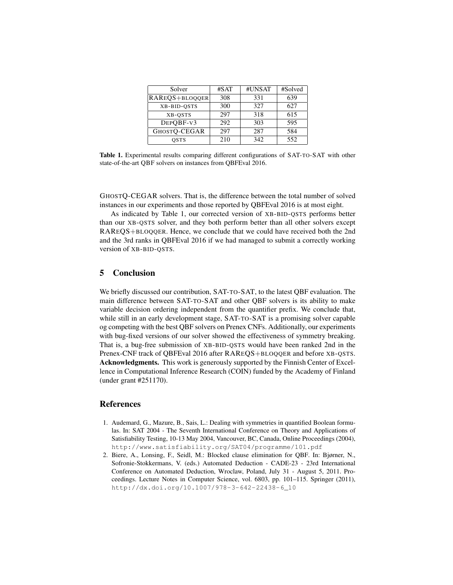| Solver         | #SAT | #UNSAT | #Solved |
|----------------|------|--------|---------|
| RAREQS+BLOQQER | 308  | 331    | 639     |
| XB-BID-QSTS    | 300  | 327    | 627     |
| XB-OSTS        | 297  | 318    | 615     |
| DEPOBF-V3      | 292  | 303    | 595     |
| GHOSTQ-CEGAR   | 297  | 287    | 584     |
| OSTS           | 210  | 342    | 552     |

Table 1. Experimental results comparing different configurations of SAT-TO-SAT with other state-of-the-art QBF solvers on instances from QBFEval 2016.

GHOSTQ-CEGAR solvers. That is, the difference between the total number of solved instances in our experiments and those reported by QBFEval 2016 is at most eight.

As indicated by Table 1, our corrected version of XB-BID-QSTS performs better than our XB-QSTS solver, and they both perform better than all other solvers except RAREQS+BLOQQER. Hence, we conclude that we could have received both the 2nd and the 3rd ranks in QBFEval 2016 if we had managed to submit a correctly working version of XB-BID-QSTS.

# 5 Conclusion

We briefly discussed our contribution, SAT-TO-SAT, to the latest QBF evaluation. The main difference between SAT-TO-SAT and other QBF solvers is its ability to make variable decision ordering independent from the quantifier prefix. We conclude that, while still in an early development stage, SAT-TO-SAT is a promising solver capable og competing with the best QBF solvers on Prenex CNFs. Additionally, our experiments with bug-fixed versions of our solver showed the effectiveness of symmetry breaking. That is, a bug-free submission of XB-BID-QSTS would have been ranked 2nd in the Prenex-CNF track of QBFEval 2016 after RAREQS+BLOQQER and before XB-QSTS. Acknowledgments. This work is generously supported by the Finnish Center of Excellence in Computational Inference Research (COIN) funded by the Academy of Finland (under grant #251170).

#### References

- 1. Audemard, G., Mazure, B., Sais, L.: Dealing with symmetries in quantified Boolean formulas. In: SAT 2004 - The Seventh International Conference on Theory and Applications of Satisfiability Testing, 10-13 May 2004, Vancouver, BC, Canada, Online Proceedings (2004), http://www.satisfiability.org/SAT04/programme/101.pdf
- 2. Biere, A., Lonsing, F., Seidl, M.: Blocked clause elimination for QBF. In: Bjørner, N., Sofronie-Stokkermans, V. (eds.) Automated Deduction - CADE-23 - 23rd International Conference on Automated Deduction, Wroclaw, Poland, July 31 - August 5, 2011. Proceedings. Lecture Notes in Computer Science, vol. 6803, pp. 101–115. Springer (2011), http://dx.doi.org/10.1007/978-3-642-22438-6\_10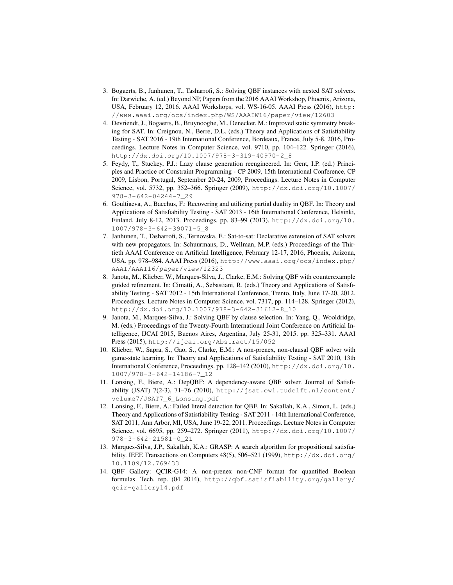- 3. Bogaerts, B., Janhunen, T., Tasharrofi, S.: Solving QBF instances with nested SAT solvers. In: Darwiche, A. (ed.) Beyond NP, Papers from the 2016 AAAI Workshop, Phoenix, Arizona, USA, February 12, 2016. AAAI Workshops, vol. WS-16-05. AAAI Press (2016), http: //www.aaai.org/ocs/index.php/WS/AAAIW16/paper/view/12603
- 4. Devriendt, J., Bogaerts, B., Bruynooghe, M., Denecker, M.: Improved static symmetry breaking for SAT. In: Creignou, N., Berre, D.L. (eds.) Theory and Applications of Satisfiability Testing - SAT 2016 - 19th International Conference, Bordeaux, France, July 5-8, 2016, Proceedings. Lecture Notes in Computer Science, vol. 9710, pp. 104–122. Springer (2016), http://dx.doi.org/10.1007/978-3-319-40970-2\_8
- 5. Feydy, T., Stuckey, P.J.: Lazy clause generation reengineered. In: Gent, I.P. (ed.) Principles and Practice of Constraint Programming - CP 2009, 15th International Conference, CP 2009, Lisbon, Portugal, September 20-24, 2009, Proceedings. Lecture Notes in Computer Science, vol. 5732, pp. 352–366. Springer (2009), http://dx.doi.org/10.1007/ 978-3-642-04244-7\_29
- 6. Goultiaeva, A., Bacchus, F.: Recovering and utilizing partial duality in QBF. In: Theory and Applications of Satisfiability Testing - SAT 2013 - 16th International Conference, Helsinki, Finland, July 8-12, 2013. Proceedings. pp. 83–99 (2013), http://dx.doi.org/10. 1007/978-3-642-39071-5\_8
- 7. Janhunen, T., Tasharrofi, S., Ternovska, E.: Sat-to-sat: Declarative extension of SAT solvers with new propagators. In: Schuurmans, D., Wellman, M.P. (eds.) Proceedings of the Thirtieth AAAI Conference on Artificial Intelligence, February 12-17, 2016, Phoenix, Arizona, USA. pp. 978–984. AAAI Press (2016), http://www.aaai.org/ocs/index.php/ AAAI/AAAI16/paper/view/12323
- 8. Janota, M., Klieber, W., Marques-Silva, J., Clarke, E.M.: Solving QBF with counterexample guided refinement. In: Cimatti, A., Sebastiani, R. (eds.) Theory and Applications of Satisfiability Testing - SAT 2012 - 15th International Conference, Trento, Italy, June 17-20, 2012. Proceedings. Lecture Notes in Computer Science, vol. 7317, pp. 114–128. Springer (2012), http://dx.doi.org/10.1007/978-3-642-31612-8\_10
- 9. Janota, M., Marques-Silva, J.: Solving QBF by clause selection. In: Yang, Q., Wooldridge, M. (eds.) Proceedings of the Twenty-Fourth International Joint Conference on Artificial Intelligence, IJCAI 2015, Buenos Aires, Argentina, July 25-31, 2015. pp. 325–331. AAAI Press (2015), http://ijcai.org/Abstract/15/052
- 10. Klieber, W., Sapra, S., Gao, S., Clarke, E.M.: A non-prenex, non-clausal QBF solver with game-state learning. In: Theory and Applications of Satisfiability Testing - SAT 2010, 13th International Conference, Proceedings. pp. 128–142 (2010), http://dx.doi.org/10. 1007/978-3-642-14186-7\_12
- 11. Lonsing, F., Biere, A.: DepQBF: A dependency-aware QBF solver. Journal of Satisfiability (JSAT) 7(2-3), 71–76 (2010), http://jsat.ewi.tudelft.nl/content/ volume7/JSAT7\_6\_Lonsing.pdf
- 12. Lonsing, F., Biere, A.: Failed literal detection for QBF. In: Sakallah, K.A., Simon, L. (eds.) Theory and Applications of Satisfiability Testing - SAT 2011 - 14th International Conference, SAT 2011, Ann Arbor, MI, USA, June 19-22, 2011. Proceedings. Lecture Notes in Computer Science, vol. 6695, pp. 259–272. Springer (2011), http://dx.doi.org/10.1007/ 978-3-642-21581-0\_21
- 13. Marques-Silva, J.P., Sakallah, K.A.: GRASP: A search algorithm for propositional satisfiability. IEEE Transactions on Computers 48(5), 506-521 (1999), http://dx.doi.org/ 10.1109/12.769433
- 14. QBF Gallery: QCIR-G14: A non-prenex non-CNF format for quantified Boolean formulas. Tech. rep. (04 2014), http://qbf.satisfiability.org/gallery/ qcir-gallery14.pdf